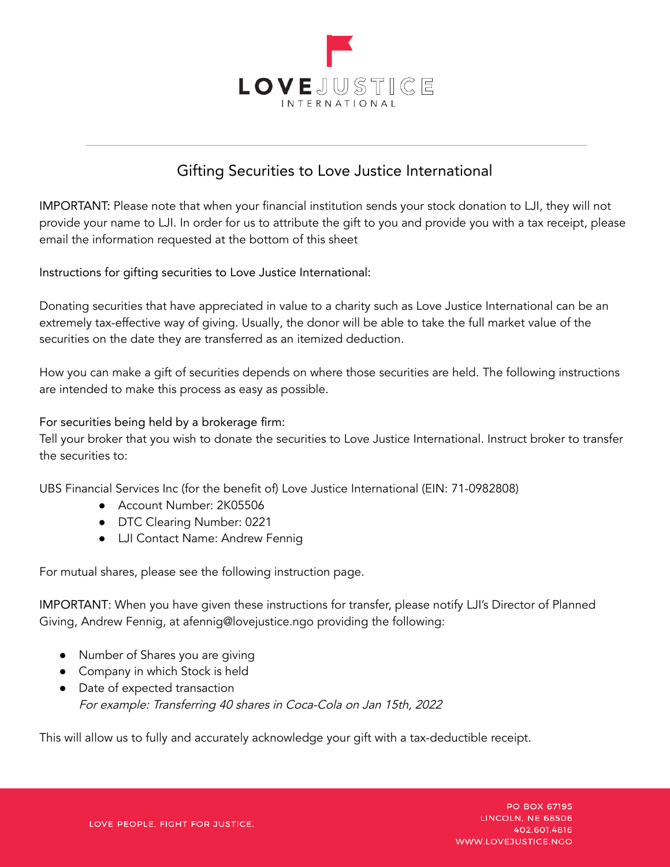

## Gifting Securities to Love Justice International

IMPORTANT: Please note that when your financial institution sends your stock donation to LJI, they will not provide your name to LJI. In order for us to attribute the gift to you and provide you with a tax receipt, please email the information requested at the bottom of this sheet

Instructions for gifting securities to Love Justice International:

Donating securities that have appreciated in value to a charity such as Love Justice International can be an extremely tax-effective way of giving. Usually, the donor will be able to take the full market value of the securities on the date they are transferred as an itemized deduction.

How you can make a gift of securities depends on where those securities are held. The following instructions are intended to make this process as easy as possible.

For securities being held by a brokerage firm:

Tell your broker that you wish to donate the securities to Love Justice International. Instruct broker to transfer the securities to:

UBS Financial Services Inc (for the benefit of) Love Justice International (EIN: 71-0982808)

- Account Number: 2K05506
- DTC Clearing Number: 0221
- LJI Contact Name: Andrew Fennig

For mutual shares, please see the following instruction page.

IMPORTANT: When you have given these instructions for transfer, please notify LJI's Director of Planned Giving, Andrew Fennig, at afennig@lovejustice.ngo providing the following:

- Number of Shares you are giving
- Company in which Stock is held
- Date of expected transaction For example: Transferring <sup>40</sup> shares in Coca-Cola on Jan 15th, <sup>2022</sup>

This will allow us to fully and accurately acknowledge your gift with a tax-deductible receipt.

PO BOX 67195 LINCOLN, NE 68506 402.601.4816 WWW.LOVEJUSTICE.NGO

LOVE PEOPLE. FIGHT FOR JUSTICE.